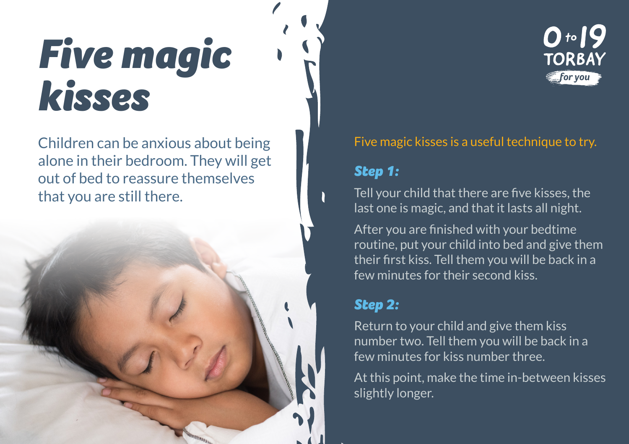# *Five magic kisses*

Children can be anxious about being alone in their bedroom. They will get out of bed to reassure themselves that you are still there.



#### Five magic kisses is a useful technique to try.

#### *Step 1:*

Tell your child that there are five kisses, the last one is magic, and that it lasts all night.

After you are finished with your bedtime routine, put your child into bed and give them their first kiss. Tell them you will be back in a few minutes for their second kiss.

## *Step 2:*

Return to your child and give them kiss number two. Tell them you will be back in a few minutes for kiss number three.

At this point, make the time in-between kisses slightly longer.